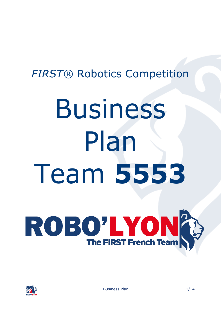## *FIRST®* Robotics Competition

# Business Plan Team **5553**





Business Plan 1/14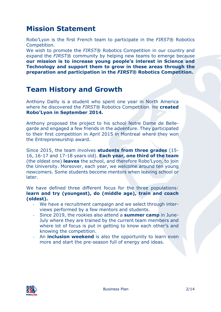## **Mission Statement**

Robo'Lyon is the first French team to participate in the *FIRST*® Robotics Competition.

We wish to promote the *FIRST*® Robotics Competition in our country and expand the *FIRST*® community by helping new teams to emerge because **our mission is to increase young people's interest in Science and Technology and support them to grow in these areas through the preparation and participation in the** *FIRST***® Robotics Competition.**

## **Team History and Growth**

Anthony Dailly is a student who spent one year in North America where he discovered the *FIRST*® Robotics Competition. He **created Robo'Lyon in September 2014.**

Anthony proposed the project to his school Notre Dame de Bellegarde and engaged a few friends in the adventure. They participated to their first competition in April 2015 in Montreal where they won the Entrepreneurship award.

Since 2015, the team involves **students from three grades** (15- 16, 16-17 and 17-18 years old). **Each year, one third of the team** (the oldest one) **leaves** the school, and therefore Robo'Lyon, to join the University. Moreover, each year, we welcome around ten young newcomers. Some students become mentors when leaving school or later.

We have defined three different focus for the three populations: **learn and try (youngest), do (middle age), train and coach (oldest).** 

- We have a recruitment campaign and we select through interviews performed by a few mentors and students.
- Since 2019, the rookies also attend a **summer camp** in June-July where they are trained by the current team members and where lot of focus is put in getting to know each other's and knowing the competition.
- An **inclusion weekend** is also the opportunity to learn even more and start the pre-season full of energy and ideas.

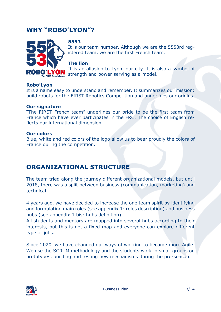## **WHY "ROBO'LYON"?**



#### **5553**

It is our team number. Although we are the 5553rd registered team, we are the first French team.

#### **The lion**

It is an allusion to Lyon, our city. It is also a symbol of strength and power serving as a model.

#### **Robo'Lyon**

It is a name easy to understand and remember. It summarizes our mission: build robots for the FIRST Robotics Competition and underlines our origins.

#### **Our signature**

"The FIRST French team" underlines our pride to be the first team from France which have ever participates in the FRC. The choice of English reflects our international dimension.

#### **Our colors**

Blue, white and red colors of the logo allow us to bear proudly the colors of France during the competition.

## **ORGANIZATIONAL STRUCTURE**

The team tried along the journey different organizational models, but until 2018, there was a split between business (communication, marketing) and technical.

4 years ago, we have decided to increase the one team spirit by identifying and formulating main roles (see appendix 1: roles description) and business hubs (see appendix 1 bis: hubs definition).

All students and mentors are mapped into several hubs according to their interests, but this is not a fixed map and everyone can explore different type of jobs.

Since 2020, we have changed our ways of working to become more Agile. We use the SCRUM methodology and the students work in small groups on prototypes, building and testing new mechanisms during the pre-season.

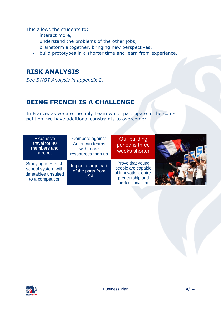This allows the students to:

- interact more,
- understand the problems of the other jobs,
- brainstorm altogether, bringing new perspectives,
- build prototypes in a shorter time and learn from experience.

## **RISK ANALYSIS**

*See SWOT Analysis in appendix 2.*

## **BEING FRENCH IS A CHALLENGE**

In France, as we are the only Team which participate in the competition, we have additional constraints to overcome:

| <b>Expansive</b><br>travel for 40<br>members and<br>a robot                                | Compete against<br><b>American teams</b><br>with more<br>ressources than us | Our building<br>period is three<br>weeks shorter                                                      |  |
|--------------------------------------------------------------------------------------------|-----------------------------------------------------------------------------|-------------------------------------------------------------------------------------------------------|--|
| <b>Studying in French</b><br>school system with<br>timetables unsuited<br>to a competition | Import a large part<br>of the parts from<br><b>USA</b>                      | Prove that young<br>people are capable<br>of innovation, entre-<br>preneurship and<br>professionalism |  |
|                                                                                            |                                                                             |                                                                                                       |  |

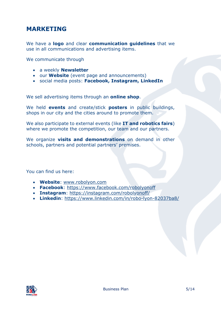## **MARKETING**

We have a **logo** and clear **communication guidelines** that we use in all communications and advertising items.

We communicate through

- a weekly **Newsletter**
- our **Website** (event page and announcements)
- social media posts: **Facebook, Instagram, LinkedIn**

We sell advertising items through an **online shop**.

We held **events** and create/stick **posters** in public buildings, shops in our city and the cities around to promote them.

We also participate to external events (like **IT and robotics fairs**) where we promote the competition, our team and our partners.

We organize **visits and demonstrations** on demand in other schools, partners and potential partners' premises.

You can find us here:

- **Website**: [www.robolyon.com](http://www.robolyon.com/)
- **Facebook**: <https://www.facebook.com/robolyonoff>
- **Instagram**: <https://instagram.com/robolyonoff/>
- **Linkedin**: <https://www.linkedin.com/in/robo-lyon-82037ba8/>

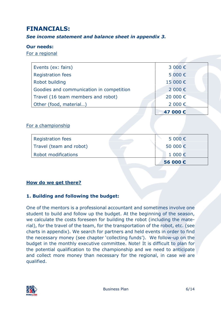## **FINANCIALS:**

#### *See income statement and balance sheet in appendix 3.*

#### **Our needs:**

For a regional

| Events (ex: fairs)                       | 3 000€   |
|------------------------------------------|----------|
| <b>Registration fees</b>                 | 5 000€   |
| Robot building                           | 15 000€  |
| Goodies and communication in competition | 2 000€   |
| Travel (16 team members and robot)       | 20 000€  |
| Other (food, material)                   | 2 000 €  |
|                                          | 47 000 € |
|                                          |          |
| For a championship                       |          |
| <b>Registration fees</b>                 | 5 000€   |
| Travel (team and robot)                  | 50 000€  |
| Robot modifications                      | 1 000€   |
|                                          | 56 000€  |

#### **How do we get there?**

#### **1. Building and following the budget:**

One of the mentors is a professional accountant and sometimes involve one student to build and follow up the budget. At the beginning of the season, we calculate the costs foreseen for building the robot (including the material), for the travel of the team, for the transportation of the robot, etc. (see charts in appendix). We search for partners and held events in order to find the necessary money (see chapter 'collecting funds'). We follow-up on the budget in the monthly executive committee. Note! It is difficult to plan for the potential qualification to the championship and we need to anticipate and collect more money than necessary for the regional, in case we are qualified.

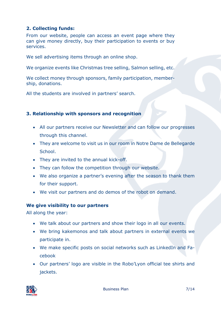#### **2. Collecting funds:**

From our website, people can access an event page where they can give money directly, buy their participation to events or buy services.

We sell advertising items through an online shop.

We organize events like Christmas tree selling, Salmon selling, etc.

We collect money through sponsors, family participation, membership, donations.

All the students are involved in partners' search.

#### **3. Relationship with sponsors and recognition**

- All our partners receive our Newsletter and can follow our progresses through this channel.
- They are welcome to visit us in our room in Notre Dame de Bellegarde School.
- They are invited to the annual kick-off.
- They can follow the competition through our website.
- We also organize a partner's evening after the season to thank them for their support.
- We visit our partners and do demos of the robot on demand.

#### **We give visibility to our partners**

All along the year:

- We talk about our partners and show their logo in all our events.
- We bring kakemonos and talk about partners in external events we participate in.
- We make specific posts on social networks such as LinkedIn and Facebook
- Our partners' logo are visible in the Robo'Lyon official tee shirts and jackets.

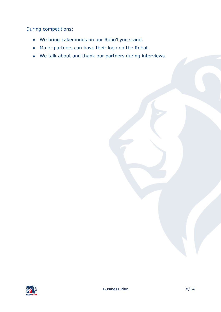During competitions:

- We bring kakemonos on our Robo'Lyon stand.
- Major partners can have their logo on the Robot.
- We talk about and thank our partners during interviews.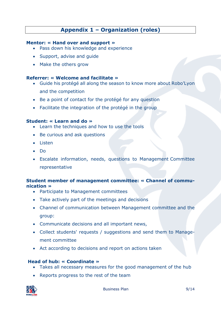### **Appendix 1 – Organization (roles)**

#### **Mentor: « Hand over and support »**

- Pass down his knowledge and experience
- Support, advise and guide
- Make the others grow

#### **Referrer: « Welcome and facilitate »**

- Guide his protégé all along the season to know more about Robo'Lyon and the competition
- Be a point of contact for the protégé for any question
- Facilitate the integration of the protégé in the group

#### **Student: « Learn and do »**

- Learn the techniques and how to use the tools
- Be curious and ask questions
- Listen
- Do
- Escalate information, needs, questions to Management Committee representative

#### **Student member of management committee: « Channel of communication »**

- Participate to Management committees
- Take actively part of the meetings and decisions
- Channel of communication between Management committee and the group:
- Communicate decisions and all important news,
- Collect students' requests / suggestions and send them to Management committee
- Act according to decisions and report on actions taken

#### **Head of hub: « Coordinate »**

- Takes all necessary measures for the good management of the hub
- Reports progress to the rest of the team

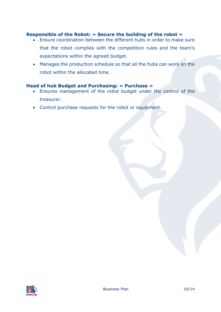#### **Responsible of the Robot: « Secure the building of the robot »**

- Ensure coordination between the different hubs in order to make sure that the robot complies with the competition rules and the team's expectations within the agreed budget.
- Manages the production schedule so that all the hubs can work on the robot within the allocated time.

#### **Head of hub Budget and Purchasing: « Purchase »**

- Ensures management of the robot budget under the control of the treasurer.
- Control purchase requests for the robot or equipment.

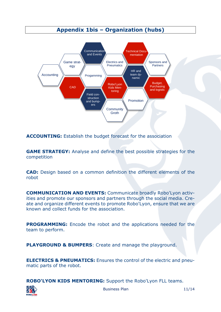#### **Appendix 1bis – Organization (hubs)**



**ACCOUNTING:** Establish the budget forecast for the association

**GAME STRATEGY:** Analyse and define the best possible strategies for the competition

**CAD:** Design based on a common definition the different elements of the robot

**COMMUNICATION AND EVENTS:** Communicate broadly Robo'Lyon activities and promote our sponsors and partners through the social media. Create and organize different events to promote Robo'Lyon, ensure that we are known and collect funds for the association.

**PROGRAMMING:** Encode the robot and the applications needed for the team to perform.

**PLAYGROUND & BUMPERS**: Create and manage the playground.

**ELECTRICS & PNEUMATICS:** Ensures the control of the electric and pneumatic parts of the robot.

**ROBO'LYON KIDS MENTORING:** Support the Robo'Lyon FLL teams.



Business Plan 11/14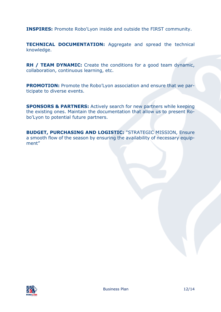**INSPIRES:** Promote Robo'Lyon inside and outside the FIRST community.

**TECHNICAL DOCUMENTATION:** Aggregate and spread the technical knowledge.

**RH / TEAM DYNAMIC:** Create the conditions for a good team dynamic, collaboration, continuous learning, etc.

**PROMOTION:** Promote the Robo'Lyon association and ensure that we participate to diverse events.

**SPONSORS & PARTNERS:** Actively search for new partners while keeping the existing ones. Maintain the documentation that allow us to present Robo'Lyon to potential future partners.

**BUDGET, PURCHASING AND LOGISTIC:** "STRATEGIC MISSION, Ensure a smooth flow of the season by ensuring the availability of necessary equipment"

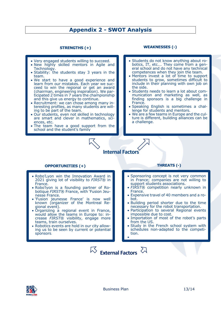#### **Appendix 2 - SWOT Analysis**

#### **STRENGTHS (+)**

- Very engaged students willing to succeed.
- New highly skilled mentors in Agile and Technology.
- Stability: the students stay 3 years in the team.
- We start to have a good experience and learn from our mistakes. Each year we succeed to win the regional or get an award (chairman, engineering inspiration). We participated 2 times in 7 years the championship and this give us energy to continue.
- Recruitment: we can chose among many interesting profiles, as many students are willing to be part of the team.
- Our students, even not skilled in technology are smart and clever in mathematics, sciences, etc.
- The team have a good support from the school and the student's family

#### **WEAKNESSES (-)**

- Students do not know anything about robotics, IT, etc.… They come from a general school and do not have any technical competences when they join the team.
- Mentors invest a lot of time to support students to grow, sometimes difficult to include in their planning with own job on the side.
- Students needs to learn a lot about communication and marketing as well, as finding sponsors is a big challenge in France.
- Speaking English is sometimes a challenge for students and mentors.
- We are a few teams in Europe and the culture is different, building alliances can be a challenge.

## **Internal Factors**

#### **OPPORTUNITIES (+) THREATS (-)**

- Robo'Lyon win the Innovation Award in 2021 giving lot of visibility to *FIRST*® in France.
- Robo'lyon is a founding partner of Robotique *FIRST*® France, with 'Fusion Jeunesse France.
- 'Fusion jeunesse France' is now well known (organizer of the Montreal Regional event).
- Organizing a regional event in France, would allow the teams in Europe to: increase *FIRST*® visibility, engage more teams, train ourselves.
- Robotics events are hold in our city allowing us to be seen by current or potential sponsors.

- Sponsoring concept is not very common in France; companies are not willing to support students associations.
- *FIRST*® competition nearly unknown in France.
- Expensive travel of 40 members and a robot.
- Building period shorter due to the time necessary for the robot transportation.
- Participation to several Regional events impossible due to cost.
- Importation of most of the robot's parts from the US.
- Study in the French school system with schedules non-adapted to the competition. •